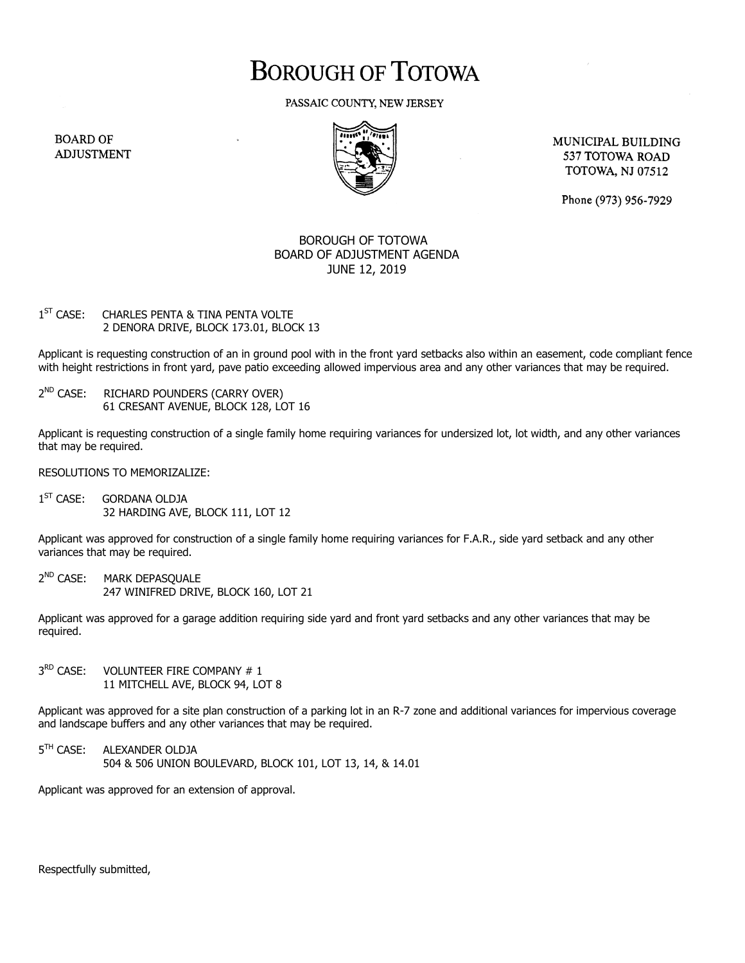## **BOROUGH OF TOTOWA**

PASSAIC COUNTY, NEW JERSEY

**BOARD OF ADJUSTMENT** 



MUNICIPAL BUILDING 537 TOTOWA ROAD **TOTOWA, NJ 07512** 

Phone (973) 956-7929

## BOROUGH OF TOTOWA BOARD OF ADJUSTMENT AGENDA JUNE 12, 2019

## $1<sup>ST</sup>$  CASE: CHARLES PENTA & TINA PENTA VOLTE 2 DENORA DRIVE, BLOCK 173.01, BLOCK 13

Applicant is requesting construction of an in ground pool with in the front yard setbacks also within an easement, code compliant fence with height restrictions in front yard, pave patio exceeding allowed impervious area and any other variances that may be required.

 $2^{ND}$  CASE: RICHARD POUNDERS (CARRY OVER) 61 CRESANT AVENUE, BLOCK 128, LOT 16

Applicant is requesting construction of a single family home requiring variances for undersized lot, lot width, and any other variances that may be required.

RESOLUTIONS TO MEMORIZALIZE:

 $1^{ST}$  CASF: GORDANA OLDJA 32 HARDING AVE, BLOCK 111, LOT 12

Applicant was approved for construction of a single family home requiring variances for F.A.R., side yard setback and any other variances that may be required.

 $2^{ND}$  CASF: MARK DEPASOUALE 247 WINIFRED DRIVE, BLOCK 160, LOT 21

Applicant was approved for a garage addition requiring side yard and front yard setbacks and any other variances that may be required.

 $3<sup>RD</sup>$  CASE: VOLUNTEER FIRE COMPANY # 1 11 MITCHELL AVE, BLOCK 94, LOT 8

Applicant was approved for a site plan construction of a parking lot in an R-7 zone and additional variances for impervious coverage and landscape buffers and any other variances that may be required.

5<sup>TH</sup> CASE: ALEXANDER OLDJA 504 & 506 UNION BOULEVARD, BLOCK 101, LOT 13, 14, & 14.01

Applicant was approved for an extension of approval.

Respectfully submitted,